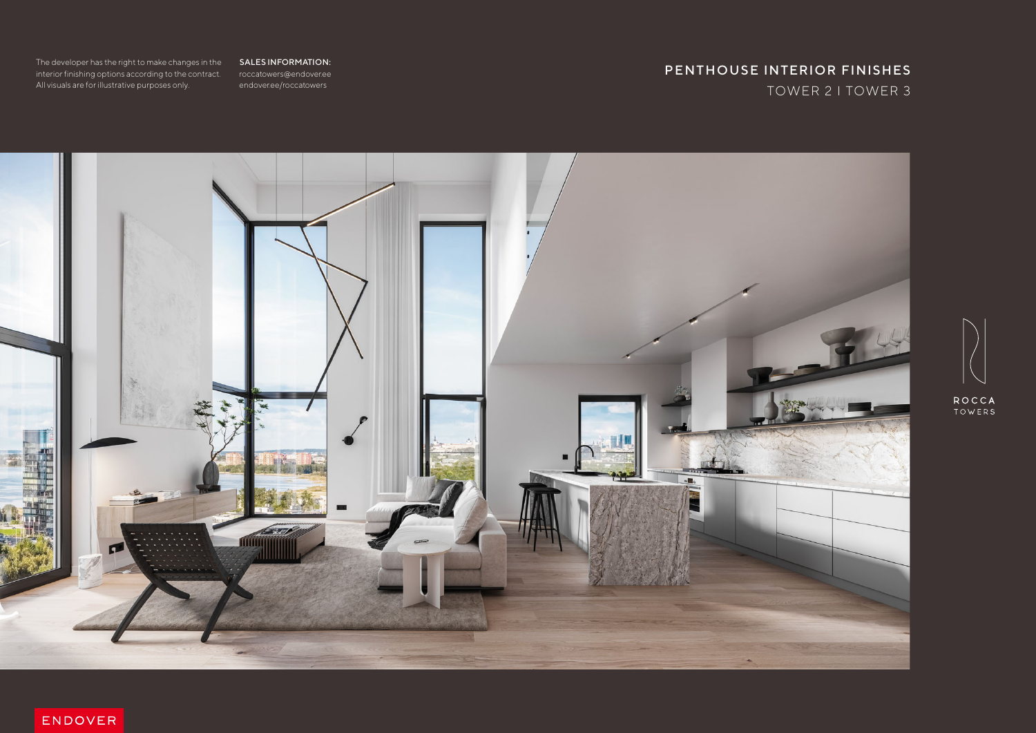roccatowers@endover.ee endover.ee/roccatowers

## TOWER 2 I TOWER 3 PENTHOUSE INTERIOR FINISHES



ENDOVER



The developer has the right to make changes in the **SALES INFORMATION:** interior finishing options according to the contract. All visuals are for illustrative purposes only.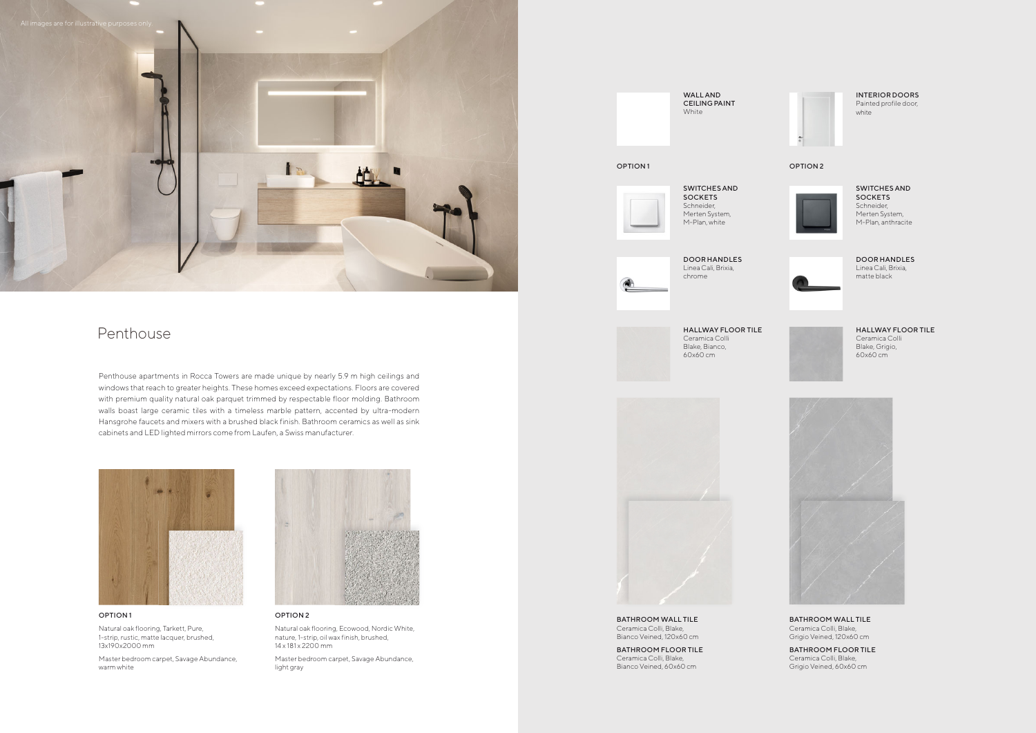## Penthouse

#### OPTION 1

Natural oak flooring, Tarkett, Pure, 1-strip, rustic, matte lacquer, brushed, 13x190x2000 mm

Master bedroom carpet, Savage Abundance, warm white



#### OPTION 2

Natural oak flooring, Ecowood, Nordic White, nature, 1-strip, oil wax finish, brushed, 14 x 181 x 2200 mm

Master bedroom carpet, Savage Abundance, light gray

BATHROOM WALL TILE Ceramica Colli, Blake, Bianco Veined, 120x60 cm

Penthouse apartments in Rocca Towers are made unique by nearly 5.9 m high ceilings and windows that reach to greater heights. These homes exceed expectations. Floors are covered with premium quality natural oak parquet trimmed by respectable floor molding. Bathroom walls boast large ceramic tiles with a timeless marble pattern, accented by ultra-modern Hansgrohe faucets and mixers with a brushed black finish. Bathroom ceramics as well as sink cabinets and LED lighted mirrors come from Laufen, a Swiss manufacturer.





SWITCHES AND **SOCKETS** Schneider, Merten System, M-Plan, white



#### SWITCHES AND SOCKETS Schneider, Merten System, M-Plan, anthracite



#### WALL AND CEILING PAINT White



BATHROOM FLOOR TILE Ceramica Colli, Blake, Bianco Veined, 60x60 cm



BATHROOM FLOOR TILE Ceramica Colli, Blake, Grigio Veined, 60x60 cm

#### BATHROOM WALL TILE Ceramica Colli, Blake,

Grigio Veined, 120x60 cm

HALLWAY FLOOR TILE Ceramica Colli Blake, Bianco, 60x60 cm



#### HALLWAY FLOOR TILE

Ceramica Colli Blake, Grigio, 60x60 cm



INTERIOR DOORS Painted profile door, white

### OPTION 1 OPTION 2



#### DOOR HANDLES Linea Cali, Brixia, matte black



DOOR HANDLES Linea Cali, Brixia, chrome